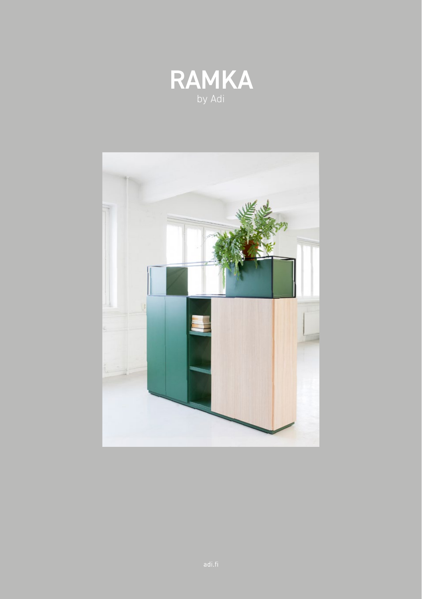